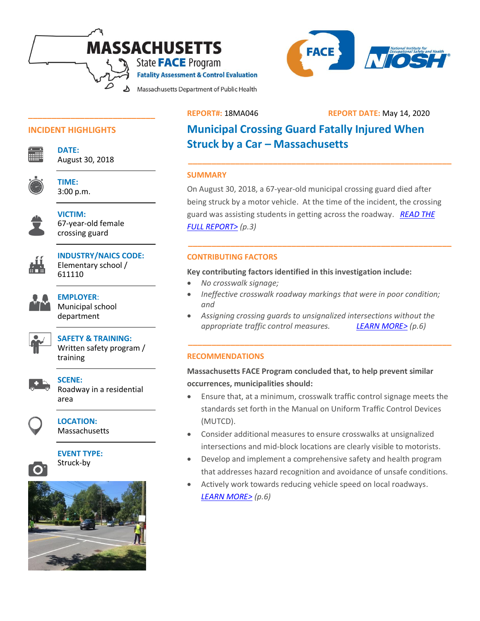



## **INCIDENT HIGHLIGHTS**



**DATE:**  August 30, 2018

**\_\_\_\_\_\_\_\_\_\_\_\_\_\_\_\_\_\_\_\_\_\_\_\_\_\_\_**

**TIME:** 3:00 p.m.



**VICTIM:** 67-year-old female crossing guard



**INDUSTRY/NAICS CODE:** Elementary school / 611110



**EMPLOYER**: Municipal school department



# **SAFETY & TRAINING:**

Written safety program / training



**SCENE:** 

Roadway in a residential area



# **LOCATION:**

**Massachusetts** 



**EVENT TYPE:** Struck-by



# **REPORT#:** 18MA046 **REPORT DATE:** May 14, 2020

# **Municipal Crossing Guard Fatally Injured When Struck by a Car – Massachusetts**

## **SUMMARY**

On August 30, 2018, a 67-year-old municipal crossing guard died after being struck by a motor vehicle. At the time of the incident, the crossing guard was assisting students in getting across the roadway. *[READ THE](#page-2-0)  [FULL REPORT>](#page-2-0) (p.3)*

**\_\_\_\_\_\_\_\_\_\_\_\_\_\_\_\_\_\_\_\_\_\_\_\_\_\_\_\_\_\_\_\_\_\_\_\_\_\_\_\_\_\_\_\_\_\_\_\_\_\_\_\_\_\_\_\_**

**\_\_\_\_\_\_\_\_\_\_\_\_\_\_\_\_\_\_\_\_\_\_\_\_\_\_\_\_\_\_\_\_\_\_\_\_\_\_\_\_\_\_\_\_\_\_\_\_\_\_\_\_\_\_\_\_**

# **CONTRIBUTING FACTORS**

**Key contributing factors identified in this investigation include:**

- *No crosswalk signage;*
- *Ineffective crosswalk roadway markings that were in poor condition; and*
- *Assigning crossing guards to unsignalized intersections without the appropriate traffic control measures. [LEARN MORE>](#page-5-0) (p.6)*

**\_\_\_\_\_\_\_\_\_\_\_\_\_\_\_\_\_\_\_\_\_\_\_\_\_\_\_\_\_\_\_\_\_\_\_\_\_\_\_\_\_\_\_\_\_\_\_\_\_\_\_\_\_\_\_\_**

# **RECOMMENDATIONS**

**Massachusetts FACE Program concluded that, to help prevent similar occurrences, municipalities should:**

- Ensure that, at a minimum, crosswalk traffic control signage meets the standards set forth in the Manual on Uniform Traffic Control Devices (MUTCD).
- Consider additional measures to ensure crosswalks at unsignalized intersections and mid-block locations are clearly visible to motorists.
- Develop and implement a comprehensive safety and health program that addresses hazard recognition and avoidance of unsafe conditions.
- Actively work towards reducing vehicle speed on local roadways. *[LEARN MORE>](#page-5-1) (p.6)*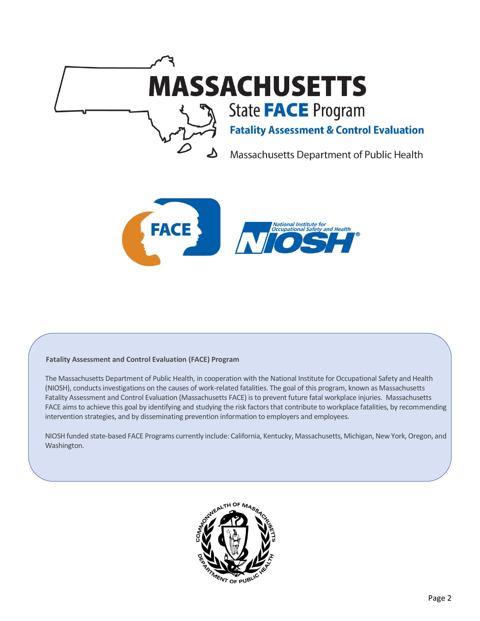



#### **Fatality Assessment and Control Evaluation (FACE) Program**

The Massachusetts Department of Public Health, in cooperation with the National Institute for Occupational Safety and Health (NIOSH), conducts investigations on the causes of work-related fatalities. The goal of this program, known as Massachusetts Fatality Assessment and Control Evaluation (Massachusetts FACE) is to prevent future fatal workplace injuries. Massachusetts FACE aims to achieve this goal by identifying and studying the risk factors that contribute to workplace fatalities, by recommending intervention strategies, and by disseminating prevention information to employers and employees.

NIOSH funded state-based FACE Programs currently include: California, Kentucky, Massachusetts, Michigan, New York, Oregon, and Washington.

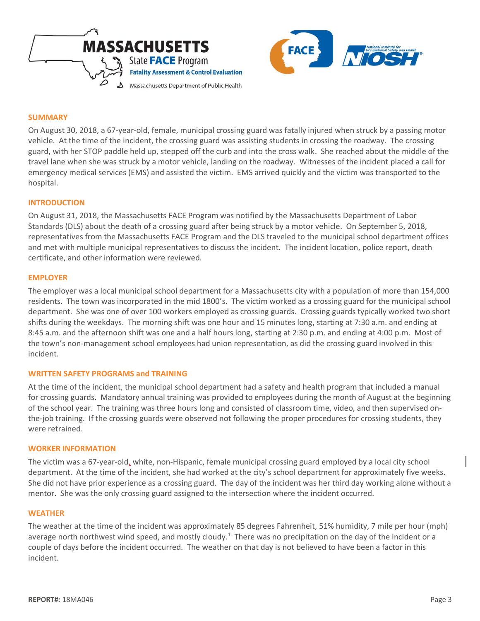



#### <span id="page-2-0"></span>**SUMMARY**

On August 30, 2018, a 67-year-old, female, municipal crossing guard was fatally injured when struck by a passing motor vehicle. At the time of the incident, the crossing guard was assisting students in crossing the roadway. The crossing guard, with her STOP paddle held up, stepped off the curb and into the cross walk. She reached about the middle of the travel lane when she was struck by a motor vehicle, landing on the roadway. Witnesses of the incident placed a call for emergency medical services (EMS) and assisted the victim. EMS arrived quickly and the victim was transported to the hospital.

### **INTRODUCTION**

On August 31, 2018, the Massachusetts FACE Program was notified by the Massachusetts Department of Labor Standards (DLS) about the death of a crossing guard after being struck by a motor vehicle. On September 5, 2018, representatives from the Massachusetts FACE Program and the DLS traveled to the municipal school department offices and met with multiple municipal representatives to discuss the incident. The incident location, police report, death certificate, and other information were reviewed.

### **EMPLOYER**

The employer was a local municipal school department for a Massachusetts city with a population of more than 154,000 residents. The town was incorporated in the mid 1800's. The victim worked as a crossing guard for the municipal school department. She was one of over 100 workers employed as crossing guards. Crossing guards typically worked two short shifts during the weekdays. The morning shift was one hour and 15 minutes long, starting at 7:30 a.m. and ending at 8:45 a.m. and the afternoon shift was one and a half hours long, starting at 2:30 p.m. and ending at 4:00 p.m. Most of the town's non-management school employees had union representation, as did the crossing guard involved in this incident.

#### **WRITTEN SAFETY PROGRAMS and TRAINING**

At the time of the incident, the municipal school department had a safety and health program that included a manual for crossing guards. Mandatory annual training was provided to employees during the month of August at the beginning of the school year. The training was three hours long and consisted of classroom time, video, and then supervised onthe-job training. If the crossing guards were observed not following the proper procedures for crossing students, they were retrained.

#### **WORKER INFORMATION**

The victim was a 67-year-old, white, non-Hispanic, female municipal crossing guard employed by a local city school department. At the time of the incident, she had worked at the city's school department for approximately five weeks. She did not have prior experience as a crossing guard. The day of the incident was her third day working alone without a mentor. She was the only crossing guard assigned to the intersection where the incident occurred.

#### **WEATHER**

The weather at the time of the incident was approximately 85 degrees Fahrenheit, 51% humidity, 7 mile per hour (mph) average north northwest wind speed, and mostly cloudy.<sup>1</sup> There was no precipitation on the day of the incident or a couple of days before the incident occurred. The weather on that day is not believed to have been a factor in this incident.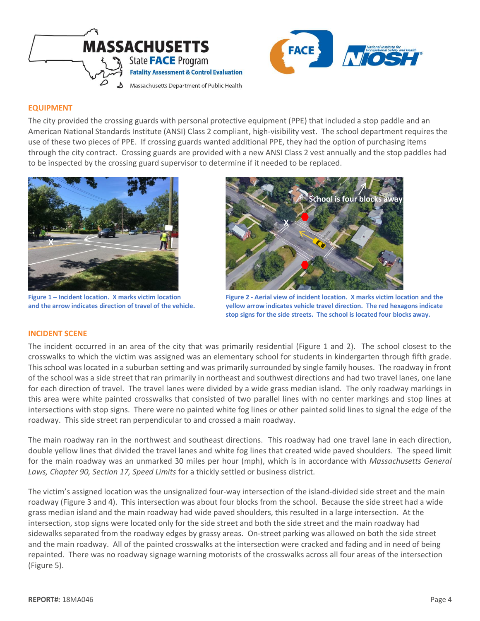



## **EQUIPMENT**

The city provided the crossing guards with personal protective equipment (PPE) that included a stop paddle and an American National Standards Institute (ANSI) Class 2 compliant, high-visibility vest. The school department requires the use of these two pieces of PPE. If crossing guards wanted additional PPE, they had the option of purchasing items through the city contract. Crossing guards are provided with a new ANSI Class 2 vest annually and the stop paddles had to be inspected by the crossing guard supervisor to determine if it needed to be replaced.



**Figure 1 – Incident location. X marks victim location and the arrow indicates direction of travel of the vehicle.** 



**Figure 2 - Aerial view of incident location. X marks victim location and the yellow arrow indicates vehicle travel direction. The red hexagons indicate stop signs for the side streets. The school is located four blocks away.**

#### **INCIDENT SCENE**

The incident occurred in an area of the city that was primarily residential (Figure 1 and 2). The school closest to the crosswalks to which the victim was assigned was an elementary school for students in kindergarten through fifth grade. This school was located in a suburban setting and was primarily surrounded by single family houses. The roadway in front of the school was a side street that ran primarily in northeast and southwest directions and had two travel lanes, one lane for each direction of travel. The travel lanes were divided by a wide grass median island. The only roadway markings in this area were white painted crosswalks that consisted of two parallel lines with no center markings and stop lines at intersections with stop signs. There were no painted white fog lines or other painted solid lines to signal the edge of the roadway. This side street ran perpendicular to and crossed a main roadway.

The main roadway ran in the northwest and southeast directions. This roadway had one travel lane in each direction, double yellow lines that divided the travel lanes and white fog lines that created wide paved shoulders. The speed limit for the main roadway was an unmarked 30 miles per hour (mph), which is in accordance with *Massachusetts General Laws, Chapter 90, Section 17, Speed Limits* for a thickly settled or business district.

The victim's assigned location was the unsignalized four-way intersection of the island-divided side street and the main roadway (Figure 3 and 4). This intersection was about four blocks from the school. Because the side street had a wide grass median island and the main roadway had wide paved shoulders, this resulted in a large intersection. At the intersection, stop signs were located only for the side street and both the side street and the main roadway had sidewalks separated from the roadway edges by grassy areas. On-street parking was allowed on both the side street and the main roadway. All of the painted crosswalks at the intersection were cracked and fading and in need of being repainted. There was no roadway signage warning motorists of the crosswalks across all four areas of the intersection (Figure 5).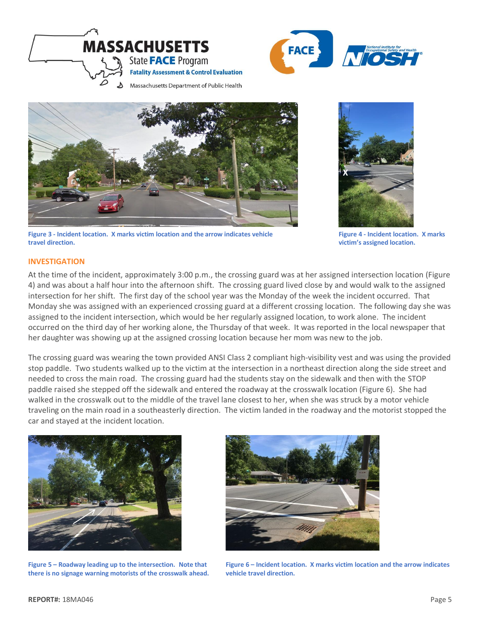![](_page_4_Picture_0.jpeg)

![](_page_4_Picture_1.jpeg)

![](_page_4_Picture_2.jpeg)

**Figure 3 - Incident location. X marks victim location and the arrow indicates vehicle travel direction.** 

![](_page_4_Picture_4.jpeg)

**Figure 4 - Incident location. X marks victim's assigned location.**

## **INVESTIGATION**

At the time of the incident, approximately 3:00 p.m., the crossing guard was at her assigned intersection location (Figure 4) and was about a half hour into the afternoon shift. The crossing guard lived close by and would walk to the assigned intersection for her shift. The first day of the school year was the Monday of the week the incident occurred. That Monday she was assigned with an experienced crossing guard at a different crossing location. The following day she was assigned to the incident intersection, which would be her regularly assigned location, to work alone. The incident occurred on the third day of her working alone, the Thursday of that week. It was reported in the local newspaper that her daughter was showing up at the assigned crossing location because her mom was new to the job.

The crossing guard was wearing the town provided ANSI Class 2 compliant high-visibility vest and was using the provided stop paddle. Two students walked up to the victim at the intersection in a northeast direction along the side street and needed to cross the main road. The crossing guard had the students stay on the sidewalk and then with the STOP paddle raised she stepped off the sidewalk and entered the roadway at the crosswalk location (Figure 6). She had walked in the crosswalk out to the middle of the travel lane closest to her, when she was struck by a motor vehicle traveling on the main road in a southeasterly direction. The victim landed in the roadway and the motorist stopped the car and stayed at the incident location.

![](_page_4_Picture_9.jpeg)

**Figure 5 – Roadway leading up to the intersection. Note that there is no signage warning motorists of the crosswalk ahead.** 

![](_page_4_Picture_11.jpeg)

**Figure 6 – Incident location. X marks victim location and the arrow indicates vehicle travel direction.**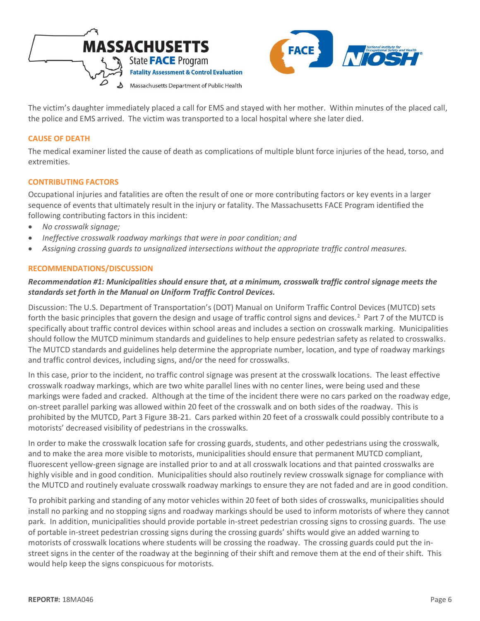![](_page_5_Picture_0.jpeg)

![](_page_5_Picture_1.jpeg)

The victim's daughter immediately placed a call for EMS and stayed with her mother. Within minutes of the placed call, the police and EMS arrived. The victim was transported to a local hospital where she later died.

## **CAUSE OF DEATH**

The medical examiner listed the cause of death as complications of multiple blunt force injuries of the head, torso, and extremities.

### <span id="page-5-0"></span>**CONTRIBUTING FACTORS**

Occupational injuries and fatalities are often the result of one or more contributing factors or key events in a larger sequence of events that ultimately result in the injury or fatality. The Massachusetts FACE Program identified the following contributing factors in this incident:

- *No crosswalk signage;*
- *Ineffective crosswalk roadway markings that were in poor condition; and*
- <span id="page-5-1"></span>• *Assigning crossing guards to unsignalized intersections without the appropriate traffic control measures.*

### **RECOMMENDATIONS/DISCUSSION**

## *Recommendation #1: Municipalities should ensure that, at a minimum, crosswalk traffic control signage meets the standards set forth in the Manual on Uniform Traffic Control Devices.*

Discussion: The U.S. Department of Transportation's (DOT) Manual on Uniform Traffic Control Devices (MUTCD) sets forth the basic principles that govern the design and usage of traffic control signs and devices.<sup>2</sup> Part 7 of the MUTCD is specifically about traffic control devices within school areas and includes a section on crosswalk marking. Municipalities should follow the MUTCD minimum standards and guidelines to help ensure pedestrian safety as related to crosswalks. The MUTCD standards and guidelines help determine the appropriate number, location, and type of roadway markings and traffic control devices, including signs, and/or the need for crosswalks.

In this case, prior to the incident, no traffic control signage was present at the crosswalk locations. The least effective crosswalk roadway markings, which are two white parallel lines with no center lines, were being used and these markings were faded and cracked. Although at the time of the incident there were no cars parked on the roadway edge, on-street parallel parking was allowed within 20 feet of the crosswalk and on both sides of the roadway. This is prohibited by the MUTCD, Part 3 Figure 3B-21. Cars parked within 20 feet of a crosswalk could possibly contribute to a motorists' decreased visibility of pedestrians in the crosswalks.

In order to make the crosswalk location safe for crossing guards, students, and other pedestrians using the crosswalk, and to make the area more visible to motorists, municipalities should ensure that permanent MUTCD compliant, fluorescent yellow-green signage are installed prior to and at all crosswalk locations and that painted crosswalks are highly visible and in good condition. Municipalities should also routinely review crosswalk signage for compliance with the MUTCD and routinely evaluate crosswalk roadway markings to ensure they are not faded and are in good condition.

To prohibit parking and standing of any motor vehicles within 20 feet of both sides of crosswalks, municipalities should install no parking and no stopping signs and roadway markings should be used to inform motorists of where they cannot park. In addition, municipalities should provide portable in-street pedestrian crossing signs to crossing guards. The use of portable in-street pedestrian crossing signs during the crossing guards' shifts would give an added warning to motorists of crosswalk locations where students will be crossing the roadway. The crossing guards could put the instreet signs in the center of the roadway at the beginning of their shift and remove them at the end of their shift. This would help keep the signs conspicuous for motorists.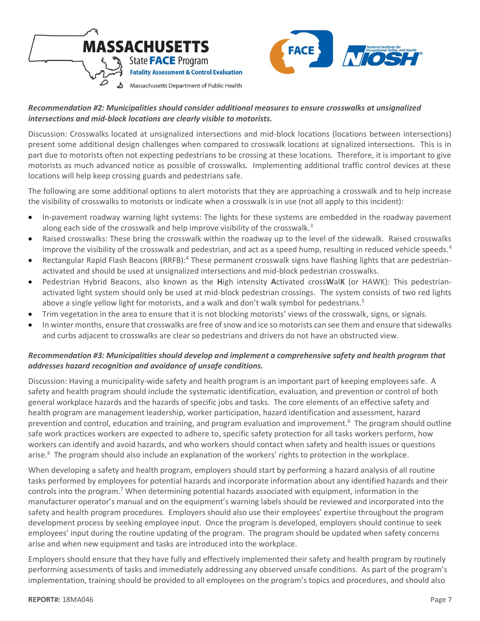![](_page_6_Picture_0.jpeg)

![](_page_6_Picture_1.jpeg)

# *Recommendation #2: Municipalities should consider additional measures to ensure crosswalks at unsignalized intersections and mid-block locations are clearly visible to motorists.*

Discussion: Crosswalks located at unsignalized intersections and mid-block locations (locations between intersections) present some additional design challenges when compared to crosswalk locations at signalized intersections. This is in part due to motorists often not expecting pedestrians to be crossing at these locations. Therefore, it is important to give motorists as much advanced notice as possible of crosswalks. Implementing additional traffic control devices at these locations will help keep crossing guards and pedestrians safe.

The following are some additional options to alert motorists that they are approaching a crosswalk and to help increase the visibility of crosswalks to motorists or indicate when a crosswalk is in use (not all apply to this incident):

- In-pavement roadway warning light systems: The lights for these systems are embedded in the roadway pavement along each side of the crosswalk and help improve visibility of the crosswalk.<sup>3</sup>
- Raised crosswalks: These bring the crosswalk within the roadway up to the level of the sidewalk. Raised crosswalks improve the visibility of the crosswalk and pedestrian, and act as a speed hump, resulting in reduced vehicle speeds. $4$
- Rectangular Rapid Flash Beacons (RRFB):<sup>4</sup> These permanent crosswalk signs have flashing lights that are pedestrianactivated and should be used at unsignalized intersections and mid-block pedestrian crosswalks.
- Pedestrian Hybrid Beacons, also known as the **H**igh intensity **A**ctivated cross**W**al**K** (or HAWK): This pedestrianactivated light system should only be used at mid-block pedestrian crossings. The system consists of two red lights above a single yellow light for motorists, and a walk and don't walk symbol for pedestrians.<sup>5</sup>
- Trim vegetation in the area to ensure that it is not blocking motorists' views of the crosswalk, signs, or signals.
- In winter months, ensure that crosswalks are free of snow and ice so motorists can see them and ensure that sidewalks and curbs adjacent to crosswalks are clear so pedestrians and drivers do not have an obstructed view.

# *Recommendation #3: Municipalities should develop and implement a comprehensive safety and health program that addresses hazard recognition and avoidance of unsafe conditions.*

Discussion: Having a municipality-wide safety and health program is an important part of keeping employees safe. A safety and health program should include the systematic identification, evaluation, and prevention or control of both general workplace hazards and the hazards of specific jobs and tasks. The core elements of an effective safety and health program are management leadership, worker participation, hazard identification and assessment, hazard prevention and control, education and training, and program evaluation and improvement.<sup>6</sup> The program should outline safe work practices workers are expected to adhere to, specific safety protection for all tasks workers perform, how workers can identify and avoid hazards, and who workers should contact when safety and health issues or questions arise.<sup>6</sup> The program should also include an explanation of the workers' rights to protection in the workplace.

When developing a safety and health program, employers should start by performing a hazard analysis of all routine tasks performed by employees for potential hazards and incorporate information about any identified hazards and their controls into the program.<sup>7</sup> When determining potential hazards associated with equipment, information in the manufacturer operator's manual and on the equipment's warning labels should be reviewed and incorporated into the safety and health program procedures. Employers should also use their employees' expertise throughout the program development process by seeking employee input. Once the program is developed, employers should continue to seek employees' input during the routine updating of the program. The program should be updated when safety concerns arise and when new equipment and tasks are introduced into the workplace.

Employers should ensure that they have fully and effectively implemented their safety and health program by routinely performing assessments of tasks and immediately addressing any observed unsafe conditions. As part of the program's implementation, training should be provided to all employees on the program's topics and procedures, and should also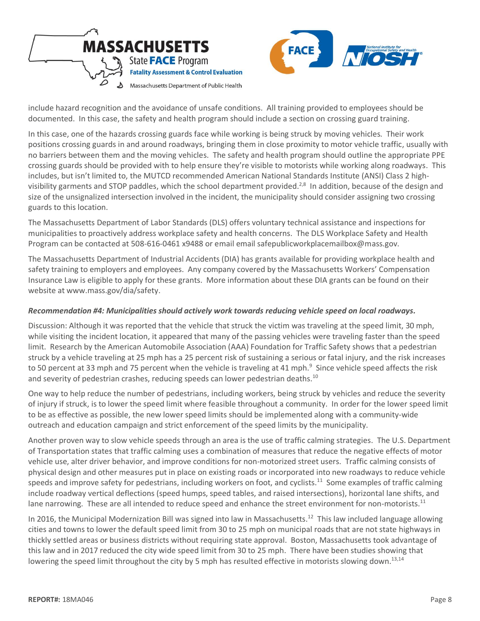![](_page_7_Picture_0.jpeg)

![](_page_7_Picture_1.jpeg)

include hazard recognition and the avoidance of unsafe conditions. All training provided to employees should be documented. In this case, the safety and health program should include a section on crossing guard training.

In this case, one of the hazards crossing guards face while working is being struck by moving vehicles. Their work positions crossing guards in and around roadways, bringing them in close proximity to motor vehicle traffic, usually with no barriers between them and the moving vehicles. The safety and health program should outline the appropriate PPE crossing guards should be provided with to help ensure they're visible to motorists while working along roadways. This includes, but isn't limited to, the MUTCD recommended American National Standards Institute (ANSI) Class 2 highvisibility garments and STOP paddles, which the school department provided.<sup>2,8</sup> In addition, because of the design and size of the unsignalized intersection involved in the incident, the municipality should consider assigning two crossing guards to this location.

The Massachusetts Department of Labor Standards (DLS) offers voluntary technical assistance and inspections for municipalities to proactively address workplace safety and health concerns. The DLS Workplace Safety and Health Program can be contacted at 508-616-0461 x9488 or email email safepublicworkplacemailbox@mass.gov.

The Massachusetts Department of Industrial Accidents (DIA) has grants available for providing workplace health and safety training to employers and employees. Any company covered by the Massachusetts Workers' Compensation Insurance Law is eligible to apply for these grants. More information about these DIA grants can be found on their website at www.mass.gov/dia/safety.

## *Recommendation #4: Municipalities should actively work towards reducing vehicle speed on local roadways.*

Discussion: Although it was reported that the vehicle that struck the victim was traveling at the speed limit, 30 mph, while visiting the incident location, it appeared that many of the passing vehicles were traveling faster than the speed limit. Research by the American Automobile Association (AAA) Foundation for Traffic Safety shows that a pedestrian struck by a vehicle traveling at 25 mph has a 25 percent risk of sustaining a serious or fatal injury, and the risk increases to 50 percent at 33 mph and 75 percent when the vehicle is traveling at 41 mph.<sup>9</sup> Since vehicle speed affects the risk and severity of pedestrian crashes, reducing speeds can lower pedestrian deaths.<sup>10</sup>

One way to help reduce the number of pedestrians, including workers, being struck by vehicles and reduce the severity of injury if struck, is to lower the speed limit where feasible throughout a community. In order for the lower speed limit to be as effective as possible, the new lower speed limits should be implemented along with a community-wide outreach and education campaign and strict enforcement of the speed limits by the municipality.

Another proven way to slow vehicle speeds through an area is the use of traffic calming strategies. The U.S. Department of Transportation states that traffic calming uses a combination of measures that reduce the negative effects of motor vehicle use, alter driver behavior, and improve conditions for non-motorized street users. Traffic calming consists of physical design and other measures put in place on existing roads or incorporated into new roadways to reduce vehicle speeds and improve safety for pedestrians, including workers on foot, and cyclists.<sup>11</sup> Some examples of traffic calming include roadway vertical deflections (speed humps, speed tables, and raised intersections), horizontal lane shifts, and lane narrowing. These are all intended to reduce speed and enhance the street environment for non-motorists.<sup>11</sup>

In 2016, the Municipal Modernization Bill was signed into law in Massachusetts.<sup>12</sup> This law included language allowing cities and towns to lower the default speed limit from 30 to 25 mph on municipal roads that are not state highways in thickly settled areas or business districts without requiring state approval. Boston, Massachusetts took advantage of this law and in 2017 reduced the city wide speed limit from 30 to 25 mph. There have been studies showing that lowering the speed limit throughout the city by 5 mph has resulted effective in motorists slowing down.<sup>13,14</sup>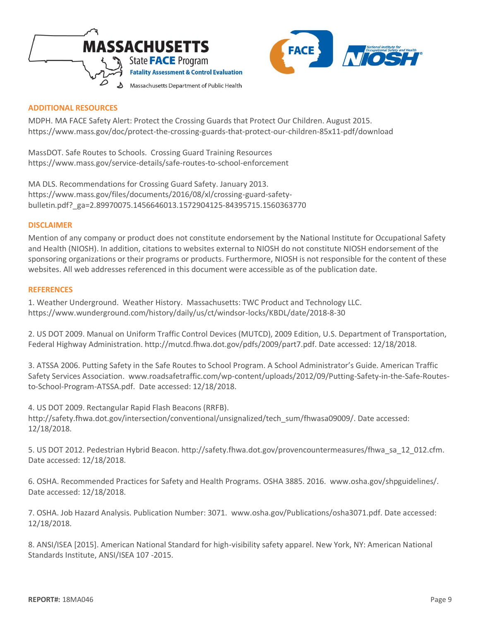![](_page_8_Picture_0.jpeg)

![](_page_8_Picture_1.jpeg)

## **ADDITIONAL RESOURCES**

MDPH. MA FACE Safety Alert: Protect the Crossing Guards that Protect Our Children. August 2015. <https://www.mass.gov/doc/protect-the-crossing-guards-that-protect-our-children-85x11-pdf/download>

MassDOT. Safe Routes to Schools. Crossing Guard Training Resources <https://www.mass.gov/service-details/safe-routes-to-school-enforcement>

MA DLS. Recommendations for Crossing Guard Safety. January 2013. [https://www.mass.gov/files/documents/2016/08/xl/crossing-guard-safety](https://www.mass.gov/files/documents/2016/08/xl/crossing-guard-safety-bulletin.pdf?_ga=2.89970075.1456646013.1572904125-84395715.1560363770)[bulletin.pdf?\\_ga=2.89970075.1456646013.1572904125-84395715.1560363770](https://www.mass.gov/files/documents/2016/08/xl/crossing-guard-safety-bulletin.pdf?_ga=2.89970075.1456646013.1572904125-84395715.1560363770)

### **DISCLAIMER**

Mention of any company or product does not constitute endorsement by the National Institute for Occupational Safety and Health (NIOSH). In addition, citations to websites external to NIOSH do not constitute NIOSH endorsement of the sponsoring organizations or their programs or products. Furthermore, NIOSH is not responsible for the content of these websites. All web addresses referenced in this document were accessible as of the publication date.

#### **REFERENCES**

1. Weather Underground. Weather History. Massachusetts: TWC Product and Technology LLC. <https://www.wunderground.com/history/daily/us/ct/windsor-locks/KBDL/date/2018-8-30>

2. US DOT 2009. Manual on Uniform Traffic Control Devices (MUTCD), 2009 Edition, U.S. Department of Transportation, Federal Highway Administration. [http://mutcd.fhwa.dot.gov/pdfs/2009/part7.pdf.](http://mutcd.fhwa.dot.gov/pdfs/2009/part7.pdf) Date accessed: 12/18/2018.

3. ATSSA 2006. Putting Safety in the Safe Routes to School Program. A School Administrator's Guide. American Traffic Safety Services Association. [www.roadsafetraffic.com/wp-content/uploads/2012/09/Putting-Safety-in-the-Safe-Routes](https://www.roadsafetraffic.com/wp-content/uploads/2012/09/Putting-Safety-in-the-Safe-Routes-to-School-Program-ATSSA.pdf)[to-School-Program-ATSSA.pdf.](https://www.roadsafetraffic.com/wp-content/uploads/2012/09/Putting-Safety-in-the-Safe-Routes-to-School-Program-ATSSA.pdf) Date accessed: 12/18/2018.

4. US DOT 2009. Rectangular Rapid Flash Beacons (RRFB). [http://safety.fhwa.dot.gov/intersection/conventional/unsignalized/tech\\_sum/fhwasa09009/.](http://safety.fhwa.dot.gov/intersection/conventional/unsignalized/tech_sum/fhwasa09009/) Date accessed: 12/18/2018.

5. US DOT 2012. Pedestrian Hybrid Beacon. [http://safety.fhwa.dot.gov/provencountermeasures/fhwa\\_sa\\_12\\_012.cfm](http://safety.fhwa.dot.gov/provencountermeasures/fhwa_sa_12_012.cfm). Date accessed: 12/18/2018.

6. OSHA. Recommended Practices for Safety and Health Programs. OSHA 3885. 2016. [www.osha.gov/shpguidelines/](https://www.osha.gov/shpguidelines/). Date accessed: 12/18/2018.

7. OSHA. Job Hazard Analysis. Publication Number: 3071. [www.osha.gov/Publications/osha3071.pdf.](https://www.osha.gov/Publications/osha3071.pdf) Date accessed: 12/18/2018.

8. ANSI/ISEA [2015]. American National Standard for high-visibility safety apparel. New York, NY: American National Standards Institute, ANSI/ISEA 107 -2015.